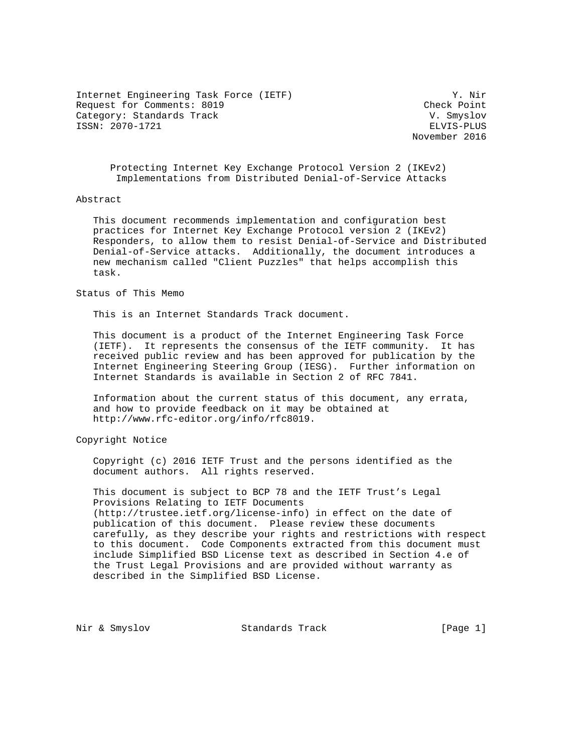Internet Engineering Task Force (IETF) Y. Nir Request for Comments: 8019 Check Point Category: Standards Track V. Smyslov ISSN: 2070-1721 ELVIS-PLUS

November 2016

 Protecting Internet Key Exchange Protocol Version 2 (IKEv2) Implementations from Distributed Denial-of-Service Attacks

### Abstract

 This document recommends implementation and configuration best practices for Internet Key Exchange Protocol version 2 (IKEv2) Responders, to allow them to resist Denial-of-Service and Distributed Denial-of-Service attacks. Additionally, the document introduces a new mechanism called "Client Puzzles" that helps accomplish this task.

### Status of This Memo

This is an Internet Standards Track document.

 This document is a product of the Internet Engineering Task Force (IETF). It represents the consensus of the IETF community. It has received public review and has been approved for publication by the Internet Engineering Steering Group (IESG). Further information on Internet Standards is available in Section 2 of RFC 7841.

 Information about the current status of this document, any errata, and how to provide feedback on it may be obtained at http://www.rfc-editor.org/info/rfc8019.

Copyright Notice

 Copyright (c) 2016 IETF Trust and the persons identified as the document authors. All rights reserved.

 This document is subject to BCP 78 and the IETF Trust's Legal Provisions Relating to IETF Documents (http://trustee.ietf.org/license-info) in effect on the date of publication of this document. Please review these documents carefully, as they describe your rights and restrictions with respect to this document. Code Components extracted from this document must include Simplified BSD License text as described in Section 4.e of the Trust Legal Provisions and are provided without warranty as described in the Simplified BSD License.

Nir & Smyslov Standards Track [Page 1]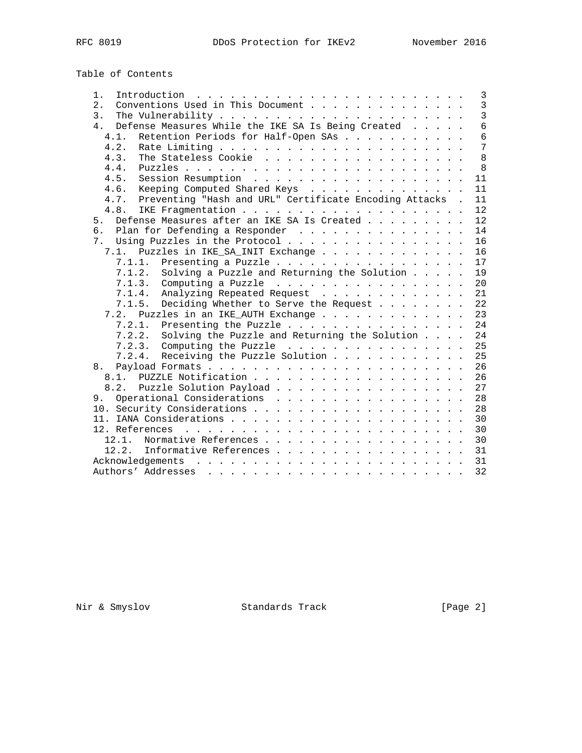# Table of Contents

| $1$ .                                                                                                | $\overline{\mathbf{3}}$ |
|------------------------------------------------------------------------------------------------------|-------------------------|
| Conventions Used in This Document<br>2.                                                              | $\mathbf{3}$            |
| 3.                                                                                                   | $\overline{3}$          |
| Defense Measures While the IKE SA Is Being Created<br>4.                                             | $6\overline{6}$         |
| Retention Periods for Half-Open SAs<br>4.1.                                                          | $6\phantom{1}$          |
| 4.2.                                                                                                 | 7                       |
| The Stateless Cookie<br>4.3.                                                                         | 8                       |
| 4.4.                                                                                                 | 8                       |
| 4.5.                                                                                                 | 11                      |
| 4.6.<br>Keeping Computed Shared Keys                                                                 | 11                      |
| Preventing "Hash and URL" Certificate Encoding Attacks .<br>4.7.                                     | 11                      |
| 4.8.                                                                                                 | 12                      |
| Defense Measures after an IKE SA Is Created<br>5.                                                    | 12                      |
| ნ.<br>Plan for Defending a Responder                                                                 | 14                      |
| Using Puzzles in the Protocol<br>$7_{\scriptscriptstyle{\ddots}}$                                    | 16                      |
| Puzzles in IKE_SA_INIT Exchange<br>7.1.                                                              | 16                      |
| 7.1.1.<br>Presenting a Puzzle                                                                        | 17                      |
| 7.1.2. Solving a Puzzle and Returning the Solution                                                   | 19                      |
|                                                                                                      | 20                      |
| 7.1.4. Analyzing Repeated Request                                                                    | 21                      |
| Deciding Whether to Serve the Request<br>7.1.5.                                                      | 22                      |
| 7.2. Puzzles in an IKE AUTH Exchange                                                                 | 23                      |
| 7.2.1.<br>Presenting the Puzzle                                                                      | 24                      |
| Solving the Puzzle and Returning the Solution<br>7.2.2.                                              | 24                      |
|                                                                                                      | 25                      |
| 7.2.4. Receiving the Puzzle Solution                                                                 | 25                      |
|                                                                                                      |                         |
| 8.                                                                                                   | 26                      |
|                                                                                                      | 26                      |
| 8.2. Puzzle Solution Payload                                                                         | 27                      |
| 9. Operational Considerations                                                                        | 28                      |
|                                                                                                      | 28                      |
|                                                                                                      | 30                      |
|                                                                                                      | 30                      |
|                                                                                                      | 30                      |
| 12.2. Informative References                                                                         | 31                      |
|                                                                                                      | 31                      |
| Authors' Addresses<br>والمناور والمناور والوالد المناور والمناور والمناور والمناور والمناور والمناور | 32                      |

Nir & Smyslov Standards Track [Page 2]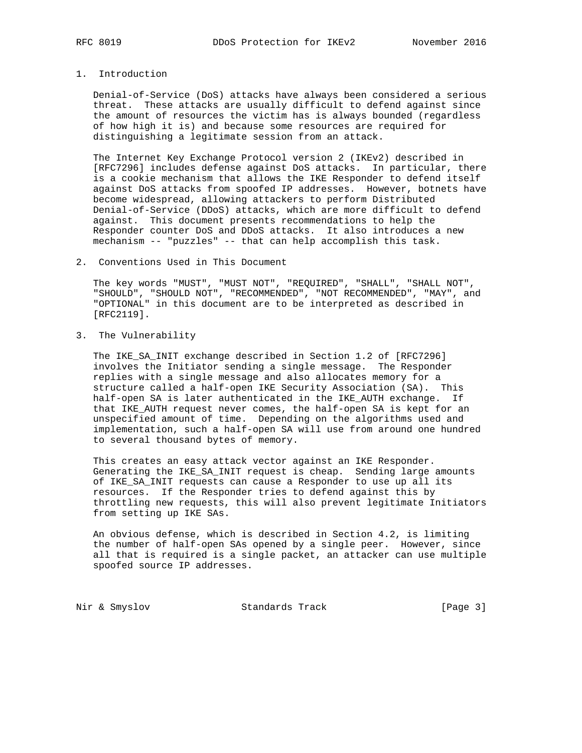# 1. Introduction

 Denial-of-Service (DoS) attacks have always been considered a serious threat. These attacks are usually difficult to defend against since the amount of resources the victim has is always bounded (regardless of how high it is) and because some resources are required for distinguishing a legitimate session from an attack.

 The Internet Key Exchange Protocol version 2 (IKEv2) described in [RFC7296] includes defense against DoS attacks. In particular, there is a cookie mechanism that allows the IKE Responder to defend itself against DoS attacks from spoofed IP addresses. However, botnets have become widespread, allowing attackers to perform Distributed Denial-of-Service (DDoS) attacks, which are more difficult to defend against. This document presents recommendations to help the Responder counter DoS and DDoS attacks. It also introduces a new mechanism -- "puzzles" -- that can help accomplish this task.

2. Conventions Used in This Document

 The key words "MUST", "MUST NOT", "REQUIRED", "SHALL", "SHALL NOT", "SHOULD", "SHOULD NOT", "RECOMMENDED", "NOT RECOMMENDED", "MAY", and "OPTIONAL" in this document are to be interpreted as described in [RFC2119].

3. The Vulnerability

 The IKE\_SA\_INIT exchange described in Section 1.2 of [RFC7296] involves the Initiator sending a single message. The Responder replies with a single message and also allocates memory for a structure called a half-open IKE Security Association (SA). This half-open SA is later authenticated in the IKE\_AUTH exchange. If that IKE\_AUTH request never comes, the half-open SA is kept for an unspecified amount of time. Depending on the algorithms used and implementation, such a half-open SA will use from around one hundred to several thousand bytes of memory.

 This creates an easy attack vector against an IKE Responder. Generating the IKE\_SA\_INIT request is cheap. Sending large amounts of IKE\_SA\_INIT requests can cause a Responder to use up all its resources. If the Responder tries to defend against this by throttling new requests, this will also prevent legitimate Initiators from setting up IKE SAs.

 An obvious defense, which is described in Section 4.2, is limiting the number of half-open SAs opened by a single peer. However, since all that is required is a single packet, an attacker can use multiple spoofed source IP addresses.

Nir & Smyslov Standards Track [Page 3]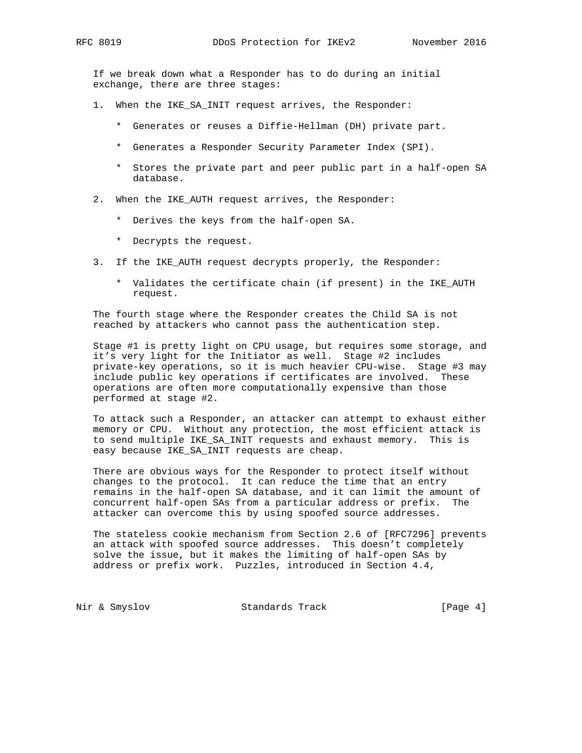If we break down what a Responder has to do during an initial exchange, there are three stages:

- 1. When the IKE\_SA\_INIT request arrives, the Responder:
	- \* Generates or reuses a Diffie-Hellman (DH) private part.
	- \* Generates a Responder Security Parameter Index (SPI).
	- \* Stores the private part and peer public part in a half-open SA database.
- 2. When the IKE AUTH request arrives, the Responder:
	- \* Derives the keys from the half-open SA.
	- \* Decrypts the request.
- 3. If the IKE\_AUTH request decrypts properly, the Responder:
	- \* Validates the certificate chain (if present) in the IKE\_AUTH request.

 The fourth stage where the Responder creates the Child SA is not reached by attackers who cannot pass the authentication step.

 Stage #1 is pretty light on CPU usage, but requires some storage, and it's very light for the Initiator as well. Stage #2 includes private-key operations, so it is much heavier CPU-wise. Stage #3 may include public key operations if certificates are involved. These operations are often more computationally expensive than those performed at stage #2.

 To attack such a Responder, an attacker can attempt to exhaust either memory or CPU. Without any protection, the most efficient attack is to send multiple IKE\_SA\_INIT requests and exhaust memory. This is easy because IKE\_SA\_INIT requests are cheap.

 There are obvious ways for the Responder to protect itself without changes to the protocol. It can reduce the time that an entry remains in the half-open SA database, and it can limit the amount of concurrent half-open SAs from a particular address or prefix. The attacker can overcome this by using spoofed source addresses.

 The stateless cookie mechanism from Section 2.6 of [RFC7296] prevents an attack with spoofed source addresses. This doesn't completely solve the issue, but it makes the limiting of half-open SAs by address or prefix work. Puzzles, introduced in Section 4.4,

Nir & Smyslov Standards Track [Page 4]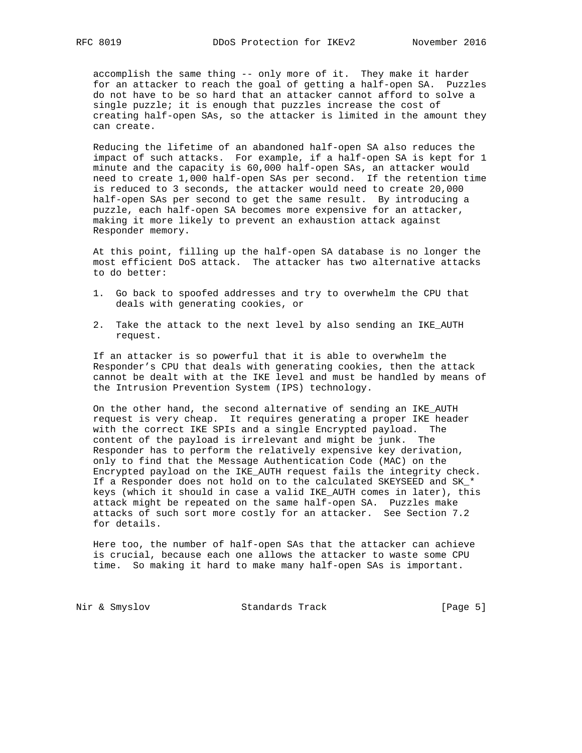accomplish the same thing -- only more of it. They make it harder for an attacker to reach the goal of getting a half-open SA. Puzzles do not have to be so hard that an attacker cannot afford to solve a single puzzle; it is enough that puzzles increase the cost of creating half-open SAs, so the attacker is limited in the amount they can create.

 Reducing the lifetime of an abandoned half-open SA also reduces the impact of such attacks. For example, if a half-open SA is kept for 1 minute and the capacity is 60,000 half-open SAs, an attacker would need to create 1,000 half-open SAs per second. If the retention time is reduced to 3 seconds, the attacker would need to create 20,000 half-open SAs per second to get the same result. By introducing a puzzle, each half-open SA becomes more expensive for an attacker, making it more likely to prevent an exhaustion attack against Responder memory.

 At this point, filling up the half-open SA database is no longer the most efficient DoS attack. The attacker has two alternative attacks to do better:

- 1. Go back to spoofed addresses and try to overwhelm the CPU that deals with generating cookies, or
- 2. Take the attack to the next level by also sending an IKE\_AUTH request.

 If an attacker is so powerful that it is able to overwhelm the Responder's CPU that deals with generating cookies, then the attack cannot be dealt with at the IKE level and must be handled by means of the Intrusion Prevention System (IPS) technology.

 On the other hand, the second alternative of sending an IKE\_AUTH request is very cheap. It requires generating a proper IKE header with the correct IKE SPIs and a single Encrypted payload. The content of the payload is irrelevant and might be junk. The Responder has to perform the relatively expensive key derivation, only to find that the Message Authentication Code (MAC) on the Encrypted payload on the IKE\_AUTH request fails the integrity check. If a Responder does not hold on to the calculated SKEYSEED and SK\_\* keys (which it should in case a valid IKE\_AUTH comes in later), this attack might be repeated on the same half-open SA. Puzzles make attacks of such sort more costly for an attacker. See Section 7.2 for details.

 Here too, the number of half-open SAs that the attacker can achieve is crucial, because each one allows the attacker to waste some CPU time. So making it hard to make many half-open SAs is important.

Nir & Smyslov Standards Track [Page 5]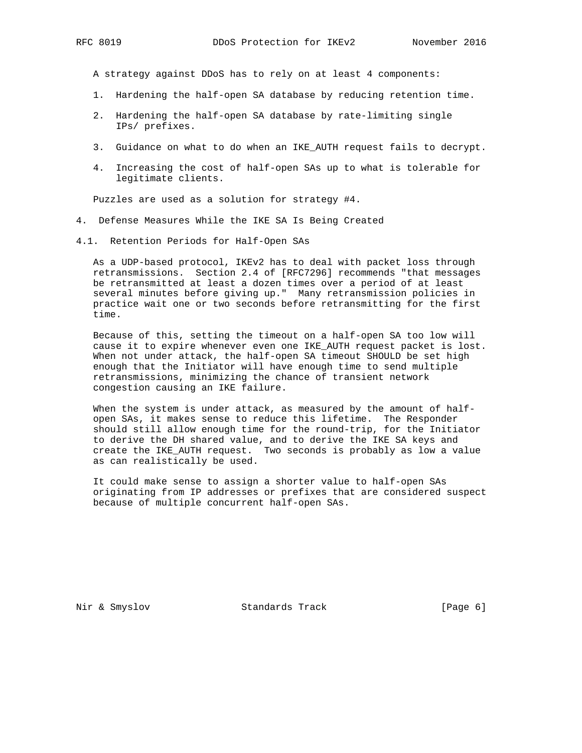A strategy against DDoS has to rely on at least 4 components:

- 1. Hardening the half-open SA database by reducing retention time.
- 2. Hardening the half-open SA database by rate-limiting single IPs/ prefixes.
- 3. Guidance on what to do when an IKE\_AUTH request fails to decrypt.
- 4. Increasing the cost of half-open SAs up to what is tolerable for legitimate clients.

Puzzles are used as a solution for strategy #4.

- 4. Defense Measures While the IKE SA Is Being Created
- 4.1. Retention Periods for Half-Open SAs

 As a UDP-based protocol, IKEv2 has to deal with packet loss through retransmissions. Section 2.4 of [RFC7296] recommends "that messages be retransmitted at least a dozen times over a period of at least several minutes before giving up." Many retransmission policies in practice wait one or two seconds before retransmitting for the first time.

 Because of this, setting the timeout on a half-open SA too low will cause it to expire whenever even one IKE\_AUTH request packet is lost. When not under attack, the half-open SA timeout SHOULD be set high enough that the Initiator will have enough time to send multiple retransmissions, minimizing the chance of transient network congestion causing an IKE failure.

When the system is under attack, as measured by the amount of half open SAs, it makes sense to reduce this lifetime. The Responder should still allow enough time for the round-trip, for the Initiator to derive the DH shared value, and to derive the IKE SA keys and create the IKE\_AUTH request. Two seconds is probably as low a value as can realistically be used.

 It could make sense to assign a shorter value to half-open SAs originating from IP addresses or prefixes that are considered suspect because of multiple concurrent half-open SAs.

Nir & Smyslov Standards Track [Page 6]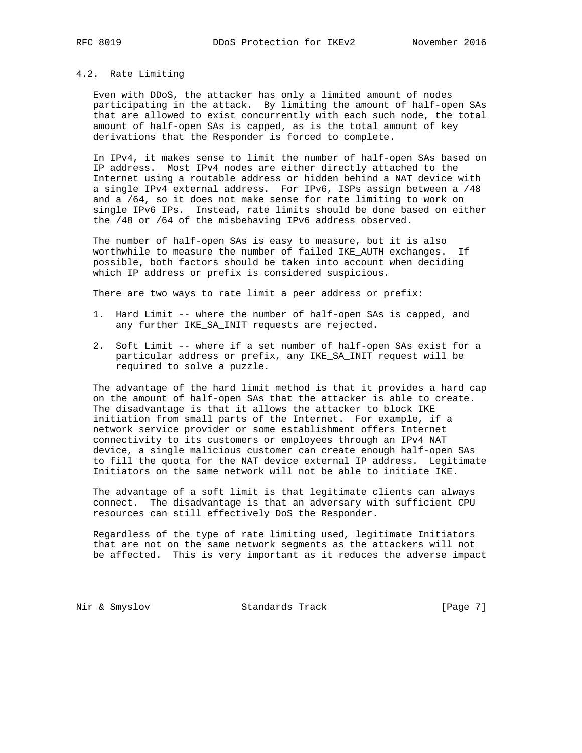#### 4.2. Rate Limiting

 Even with DDoS, the attacker has only a limited amount of nodes participating in the attack. By limiting the amount of half-open SAs that are allowed to exist concurrently with each such node, the total amount of half-open SAs is capped, as is the total amount of key derivations that the Responder is forced to complete.

 In IPv4, it makes sense to limit the number of half-open SAs based on IP address. Most IPv4 nodes are either directly attached to the Internet using a routable address or hidden behind a NAT device with a single IPv4 external address. For IPv6, ISPs assign between a /48 and a /64, so it does not make sense for rate limiting to work on single IPv6 IPs. Instead, rate limits should be done based on either the /48 or /64 of the misbehaving IPv6 address observed.

 The number of half-open SAs is easy to measure, but it is also worthwhile to measure the number of failed IKE\_AUTH exchanges. If possible, both factors should be taken into account when deciding which IP address or prefix is considered suspicious.

There are two ways to rate limit a peer address or prefix:

- 1. Hard Limit -- where the number of half-open SAs is capped, and any further IKE\_SA\_INIT requests are rejected.
- 2. Soft Limit -- where if a set number of half-open SAs exist for a particular address or prefix, any IKE\_SA\_INIT request will be required to solve a puzzle.

 The advantage of the hard limit method is that it provides a hard cap on the amount of half-open SAs that the attacker is able to create. The disadvantage is that it allows the attacker to block IKE initiation from small parts of the Internet. For example, if a network service provider or some establishment offers Internet connectivity to its customers or employees through an IPv4 NAT device, a single malicious customer can create enough half-open SAs to fill the quota for the NAT device external IP address. Legitimate Initiators on the same network will not be able to initiate IKE.

 The advantage of a soft limit is that legitimate clients can always connect. The disadvantage is that an adversary with sufficient CPU resources can still effectively DoS the Responder.

 Regardless of the type of rate limiting used, legitimate Initiators that are not on the same network segments as the attackers will not be affected. This is very important as it reduces the adverse impact

Nir & Smyslov Standards Track [Page 7]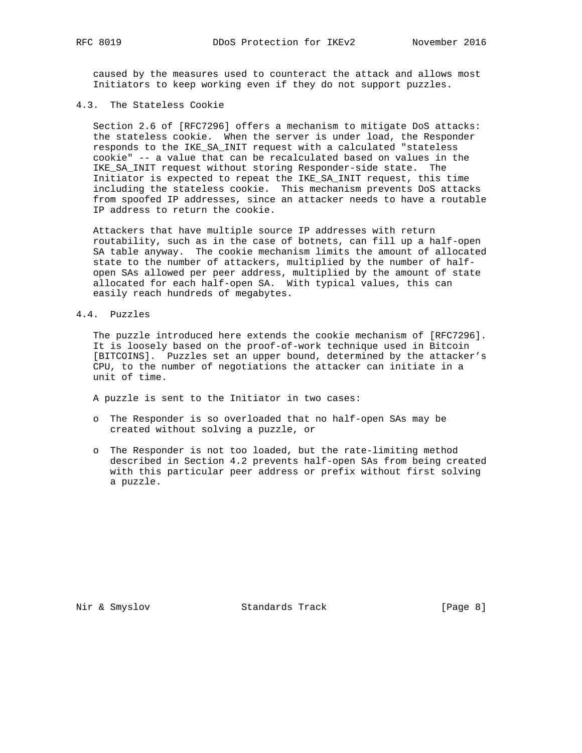caused by the measures used to counteract the attack and allows most Initiators to keep working even if they do not support puzzles.

# 4.3. The Stateless Cookie

 Section 2.6 of [RFC7296] offers a mechanism to mitigate DoS attacks: the stateless cookie. When the server is under load, the Responder responds to the IKE\_SA\_INIT request with a calculated "stateless cookie" -- a value that can be recalculated based on values in the IKE\_SA\_INIT request without storing Responder-side state. The Initiator is expected to repeat the IKE\_SA\_INIT request, this time including the stateless cookie. This mechanism prevents DoS attacks from spoofed IP addresses, since an attacker needs to have a routable IP address to return the cookie.

 Attackers that have multiple source IP addresses with return routability, such as in the case of botnets, can fill up a half-open SA table anyway. The cookie mechanism limits the amount of allocated state to the number of attackers, multiplied by the number of half open SAs allowed per peer address, multiplied by the amount of state allocated for each half-open SA. With typical values, this can easily reach hundreds of megabytes.

4.4. Puzzles

 The puzzle introduced here extends the cookie mechanism of [RFC7296]. It is loosely based on the proof-of-work technique used in Bitcoin [BITCOINS]. Puzzles set an upper bound, determined by the attacker's CPU, to the number of negotiations the attacker can initiate in a unit of time.

A puzzle is sent to the Initiator in two cases:

- o The Responder is so overloaded that no half-open SAs may be created without solving a puzzle, or
- o The Responder is not too loaded, but the rate-limiting method described in Section 4.2 prevents half-open SAs from being created with this particular peer address or prefix without first solving a puzzle.

Nir & Smyslov Standards Track [Page 8]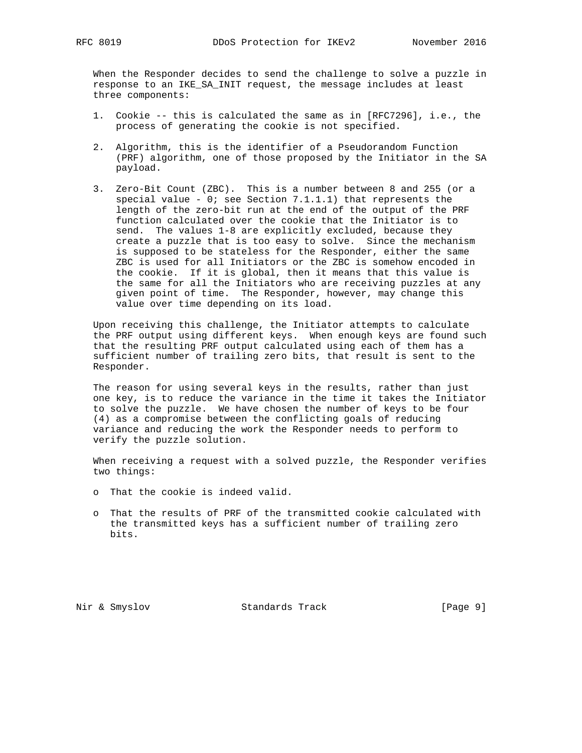When the Responder decides to send the challenge to solve a puzzle in response to an IKE\_SA\_INIT request, the message includes at least three components:

- 1. Cookie -- this is calculated the same as in [RFC7296], i.e., the process of generating the cookie is not specified.
- 2. Algorithm, this is the identifier of a Pseudorandom Function (PRF) algorithm, one of those proposed by the Initiator in the SA payload.
- 3. Zero-Bit Count (ZBC). This is a number between 8 and 255 (or a special value -  $0$ ; see Section  $7.1.1.1$ ) that represents the length of the zero-bit run at the end of the output of the PRF function calculated over the cookie that the Initiator is to send. The values 1-8 are explicitly excluded, because they create a puzzle that is too easy to solve. Since the mechanism is supposed to be stateless for the Responder, either the same ZBC is used for all Initiators or the ZBC is somehow encoded in the cookie. If it is global, then it means that this value is the same for all the Initiators who are receiving puzzles at any given point of time. The Responder, however, may change this value over time depending on its load.

 Upon receiving this challenge, the Initiator attempts to calculate the PRF output using different keys. When enough keys are found such that the resulting PRF output calculated using each of them has a sufficient number of trailing zero bits, that result is sent to the Responder.

 The reason for using several keys in the results, rather than just one key, is to reduce the variance in the time it takes the Initiator to solve the puzzle. We have chosen the number of keys to be four (4) as a compromise between the conflicting goals of reducing variance and reducing the work the Responder needs to perform to verify the puzzle solution.

 When receiving a request with a solved puzzle, the Responder verifies two things:

- o That the cookie is indeed valid.
- o That the results of PRF of the transmitted cookie calculated with the transmitted keys has a sufficient number of trailing zero bits.

Nir & Smyslov Standards Track [Page 9]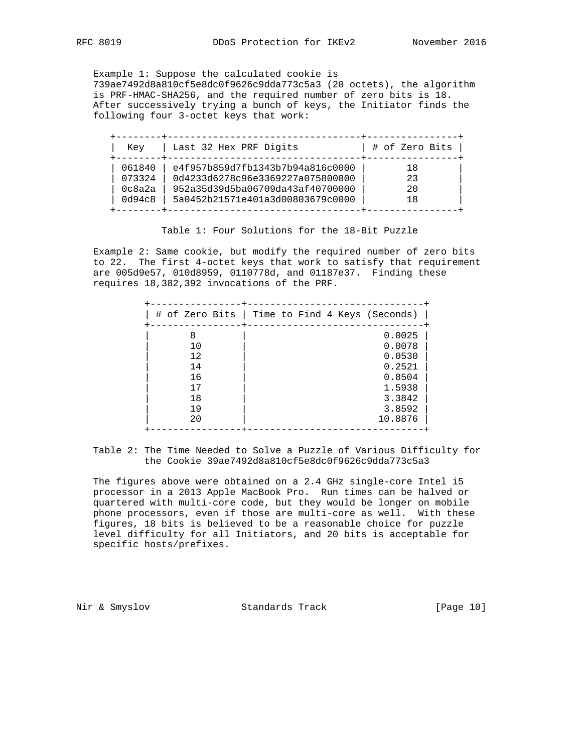Example 1: Suppose the calculated cookie is 739ae7492d8a810cf5e8dc0f9626c9dda773c5a3 (20 octets), the algorithm is PRF-HMAC-SHA256, and the required number of zero bits is 18. After successively trying a bunch of keys, the Initiator finds the following four 3-octet keys that work:

| Kev    | Last 32 Hex PRF Digits           | # of Zero Bits |
|--------|----------------------------------|----------------|
| 061840 | e4f957b859d7fb1343b7b94a816c0000 | 18             |
| 073324 | 0d4233d6278c96e3369227a075800000 | 23             |
| 0c8a2a | 952a35d39d5ba06709da43af40700000 | 2.0            |
| 0d94c8 | 5a0452b21571e401a3d00803679c0000 | 18             |

Table 1: Four Solutions for the 18-Bit Puzzle

 Example 2: Same cookie, but modify the required number of zero bits to 22. The first 4-octet keys that work to satisfy that requirement are 005d9e57, 010d8959, 0110778d, and 01187e37. Finding these requires 18,382,392 invocations of the PRF.

|                                                   | # of Zero Bits   Time to Find 4 Keys (Seconds)                                          |
|---------------------------------------------------|-----------------------------------------------------------------------------------------|
| 8<br>10<br>12<br>14<br>16<br>17<br>18<br>19<br>20 | 0.0025<br>0.0078<br>0.0530<br>0.2521<br>0.8504<br>1.5938<br>3.3842<br>3.8592<br>10.8876 |

 Table 2: The Time Needed to Solve a Puzzle of Various Difficulty for the Cookie 39ae7492d8a810cf5e8dc0f9626c9dda773c5a3

 The figures above were obtained on a 2.4 GHz single-core Intel i5 processor in a 2013 Apple MacBook Pro. Run times can be halved or quartered with multi-core code, but they would be longer on mobile phone processors, even if those are multi-core as well. With these figures, 18 bits is believed to be a reasonable choice for puzzle level difficulty for all Initiators, and 20 bits is acceptable for specific hosts/prefixes.

Nir & Smyslov **Standards Track** [Page 10]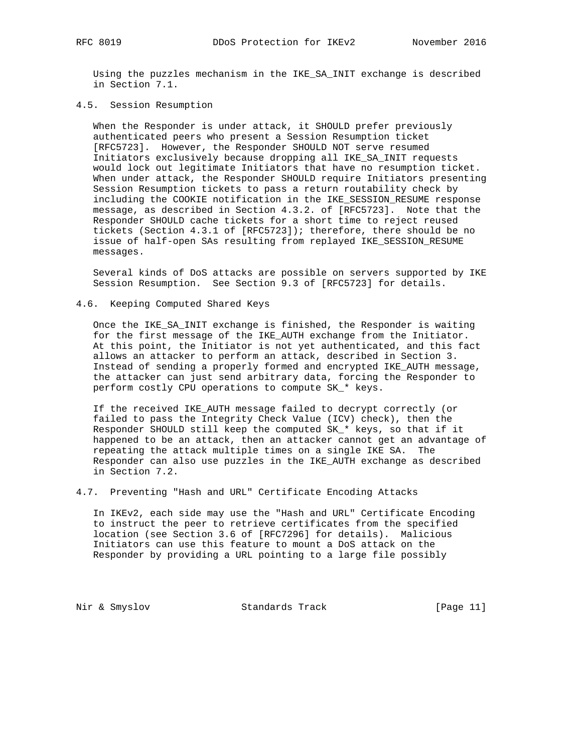Using the puzzles mechanism in the IKE\_SA\_INIT exchange is described in Section 7.1.

### 4.5. Session Resumption

 When the Responder is under attack, it SHOULD prefer previously authenticated peers who present a Session Resumption ticket [RFC5723]. However, the Responder SHOULD NOT serve resumed Initiators exclusively because dropping all IKE\_SA\_INIT requests would lock out legitimate Initiators that have no resumption ticket. When under attack, the Responder SHOULD require Initiators presenting Session Resumption tickets to pass a return routability check by including the COOKIE notification in the IKE\_SESSION\_RESUME response message, as described in Section 4.3.2. of [RFC5723]. Note that the Responder SHOULD cache tickets for a short time to reject reused tickets (Section 4.3.1 of [RFC5723]); therefore, there should be no issue of half-open SAs resulting from replayed IKE\_SESSION\_RESUME messages.

 Several kinds of DoS attacks are possible on servers supported by IKE Session Resumption. See Section 9.3 of [RFC5723] for details.

#### 4.6. Keeping Computed Shared Keys

 Once the IKE\_SA\_INIT exchange is finished, the Responder is waiting for the first message of the IKE\_AUTH exchange from the Initiator. At this point, the Initiator is not yet authenticated, and this fact allows an attacker to perform an attack, described in Section 3. Instead of sending a properly formed and encrypted IKE\_AUTH message, the attacker can just send arbitrary data, forcing the Responder to perform costly CPU operations to compute SK\_\* keys.

 If the received IKE\_AUTH message failed to decrypt correctly (or failed to pass the Integrity Check Value (ICV) check), then the Responder SHOULD still keep the computed SK\_\* keys, so that if it happened to be an attack, then an attacker cannot get an advantage of repeating the attack multiple times on a single IKE SA. The Responder can also use puzzles in the IKE\_AUTH exchange as described in Section 7.2.

4.7. Preventing "Hash and URL" Certificate Encoding Attacks

 In IKEv2, each side may use the "Hash and URL" Certificate Encoding to instruct the peer to retrieve certificates from the specified location (see Section 3.6 of [RFC7296] for details). Malicious Initiators can use this feature to mount a DoS attack on the Responder by providing a URL pointing to a large file possibly

Nir & Smyslov Standards Track [Page 11]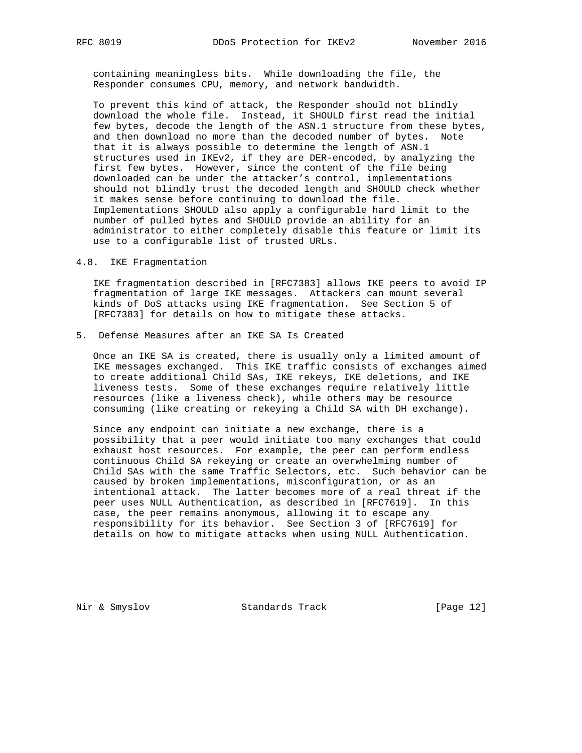containing meaningless bits. While downloading the file, the Responder consumes CPU, memory, and network bandwidth.

 To prevent this kind of attack, the Responder should not blindly download the whole file. Instead, it SHOULD first read the initial few bytes, decode the length of the ASN.1 structure from these bytes, and then download no more than the decoded number of bytes. Note that it is always possible to determine the length of ASN.1 structures used in IKEv2, if they are DER-encoded, by analyzing the first few bytes. However, since the content of the file being downloaded can be under the attacker's control, implementations should not blindly trust the decoded length and SHOULD check whether it makes sense before continuing to download the file. Implementations SHOULD also apply a configurable hard limit to the number of pulled bytes and SHOULD provide an ability for an administrator to either completely disable this feature or limit its use to a configurable list of trusted URLs.

# 4.8. IKE Fragmentation

 IKE fragmentation described in [RFC7383] allows IKE peers to avoid IP fragmentation of large IKE messages. Attackers can mount several kinds of DoS attacks using IKE fragmentation. See Section 5 of [RFC7383] for details on how to mitigate these attacks.

5. Defense Measures after an IKE SA Is Created

 Once an IKE SA is created, there is usually only a limited amount of IKE messages exchanged. This IKE traffic consists of exchanges aimed to create additional Child SAs, IKE rekeys, IKE deletions, and IKE liveness tests. Some of these exchanges require relatively little resources (like a liveness check), while others may be resource consuming (like creating or rekeying a Child SA with DH exchange).

 Since any endpoint can initiate a new exchange, there is a possibility that a peer would initiate too many exchanges that could exhaust host resources. For example, the peer can perform endless continuous Child SA rekeying or create an overwhelming number of Child SAs with the same Traffic Selectors, etc. Such behavior can be caused by broken implementations, misconfiguration, or as an intentional attack. The latter becomes more of a real threat if the peer uses NULL Authentication, as described in [RFC7619]. In this case, the peer remains anonymous, allowing it to escape any responsibility for its behavior. See Section 3 of [RFC7619] for details on how to mitigate attacks when using NULL Authentication.

Nir & Smyslov Standards Track [Page 12]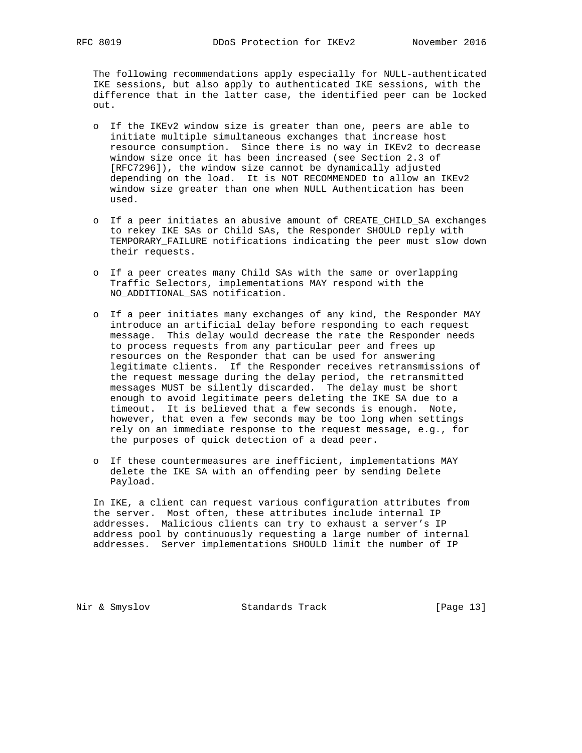The following recommendations apply especially for NULL-authenticated IKE sessions, but also apply to authenticated IKE sessions, with the difference that in the latter case, the identified peer can be locked out.

- o If the IKEv2 window size is greater than one, peers are able to initiate multiple simultaneous exchanges that increase host resource consumption. Since there is no way in IKEv2 to decrease window size once it has been increased (see Section 2.3 of [RFC7296]), the window size cannot be dynamically adjusted depending on the load. It is NOT RECOMMENDED to allow an IKEv2 window size greater than one when NULL Authentication has been used.
- o If a peer initiates an abusive amount of CREATE\_CHILD\_SA exchanges to rekey IKE SAs or Child SAs, the Responder SHOULD reply with TEMPORARY\_FAILURE notifications indicating the peer must slow down their requests.
- o If a peer creates many Child SAs with the same or overlapping Traffic Selectors, implementations MAY respond with the NO\_ADDITIONAL\_SAS notification.
- o If a peer initiates many exchanges of any kind, the Responder MAY introduce an artificial delay before responding to each request message. This delay would decrease the rate the Responder needs to process requests from any particular peer and frees up resources on the Responder that can be used for answering legitimate clients. If the Responder receives retransmissions of the request message during the delay period, the retransmitted messages MUST be silently discarded. The delay must be short enough to avoid legitimate peers deleting the IKE SA due to a timeout. It is believed that a few seconds is enough. Note, however, that even a few seconds may be too long when settings rely on an immediate response to the request message, e.g., for the purposes of quick detection of a dead peer.
- o If these countermeasures are inefficient, implementations MAY delete the IKE SA with an offending peer by sending Delete Payload.

 In IKE, a client can request various configuration attributes from the server. Most often, these attributes include internal IP addresses. Malicious clients can try to exhaust a server's IP address pool by continuously requesting a large number of internal addresses. Server implementations SHOULD limit the number of IP

Nir & Smyslov Standards Track [Page 13]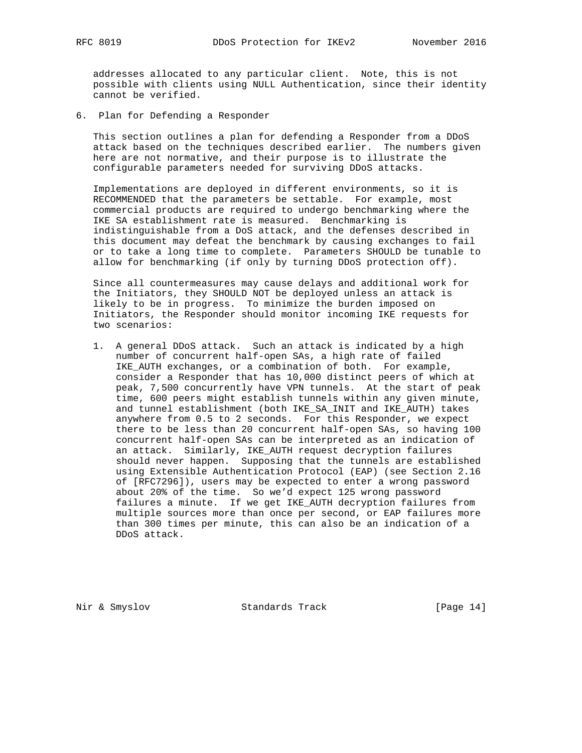addresses allocated to any particular client. Note, this is not possible with clients using NULL Authentication, since their identity cannot be verified.

6. Plan for Defending a Responder

 This section outlines a plan for defending a Responder from a DDoS attack based on the techniques described earlier. The numbers given here are not normative, and their purpose is to illustrate the configurable parameters needed for surviving DDoS attacks.

 Implementations are deployed in different environments, so it is RECOMMENDED that the parameters be settable. For example, most commercial products are required to undergo benchmarking where the IKE SA establishment rate is measured. Benchmarking is indistinguishable from a DoS attack, and the defenses described in this document may defeat the benchmark by causing exchanges to fail or to take a long time to complete. Parameters SHOULD be tunable to allow for benchmarking (if only by turning DDoS protection off).

 Since all countermeasures may cause delays and additional work for the Initiators, they SHOULD NOT be deployed unless an attack is likely to be in progress. To minimize the burden imposed on Initiators, the Responder should monitor incoming IKE requests for two scenarios:

 1. A general DDoS attack. Such an attack is indicated by a high number of concurrent half-open SAs, a high rate of failed IKE\_AUTH exchanges, or a combination of both. For example, consider a Responder that has 10,000 distinct peers of which at peak, 7,500 concurrently have VPN tunnels. At the start of peak time, 600 peers might establish tunnels within any given minute, and tunnel establishment (both IKE\_SA\_INIT and IKE\_AUTH) takes anywhere from 0.5 to 2 seconds. For this Responder, we expect there to be less than 20 concurrent half-open SAs, so having 100 concurrent half-open SAs can be interpreted as an indication of an attack. Similarly, IKE\_AUTH request decryption failures should never happen. Supposing that the tunnels are established using Extensible Authentication Protocol (EAP) (see Section 2.16 of [RFC7296]), users may be expected to enter a wrong password about 20% of the time. So we'd expect 125 wrong password failures a minute. If we get IKE\_AUTH decryption failures from multiple sources more than once per second, or EAP failures more than 300 times per minute, this can also be an indication of a DDoS attack.

Nir & Smyslov Standards Track [Page 14]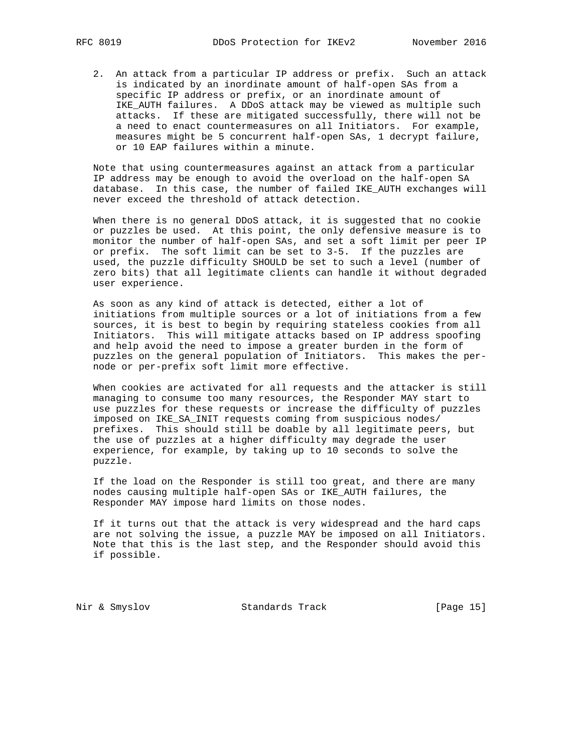2. An attack from a particular IP address or prefix. Such an attack is indicated by an inordinate amount of half-open SAs from a specific IP address or prefix, or an inordinate amount of IKE\_AUTH failures. A DDoS attack may be viewed as multiple such attacks. If these are mitigated successfully, there will not be a need to enact countermeasures on all Initiators. For example, measures might be 5 concurrent half-open SAs, 1 decrypt failure, or 10 EAP failures within a minute.

 Note that using countermeasures against an attack from a particular IP address may be enough to avoid the overload on the half-open SA database. In this case, the number of failed IKE\_AUTH exchanges will never exceed the threshold of attack detection.

 When there is no general DDoS attack, it is suggested that no cookie or puzzles be used. At this point, the only defensive measure is to monitor the number of half-open SAs, and set a soft limit per peer IP or prefix. The soft limit can be set to 3-5. If the puzzles are used, the puzzle difficulty SHOULD be set to such a level (number of zero bits) that all legitimate clients can handle it without degraded user experience.

 As soon as any kind of attack is detected, either a lot of initiations from multiple sources or a lot of initiations from a few sources, it is best to begin by requiring stateless cookies from all Initiators. This will mitigate attacks based on IP address spoofing and help avoid the need to impose a greater burden in the form of puzzles on the general population of Initiators. This makes the per node or per-prefix soft limit more effective.

 When cookies are activated for all requests and the attacker is still managing to consume too many resources, the Responder MAY start to use puzzles for these requests or increase the difficulty of puzzles imposed on IKE\_SA\_INIT requests coming from suspicious nodes/ prefixes. This should still be doable by all legitimate peers, but the use of puzzles at a higher difficulty may degrade the user experience, for example, by taking up to 10 seconds to solve the puzzle.

 If the load on the Responder is still too great, and there are many nodes causing multiple half-open SAs or IKE\_AUTH failures, the Responder MAY impose hard limits on those nodes.

 If it turns out that the attack is very widespread and the hard caps are not solving the issue, a puzzle MAY be imposed on all Initiators. Note that this is the last step, and the Responder should avoid this if possible.

Nir & Smyslov Standards Track [Page 15]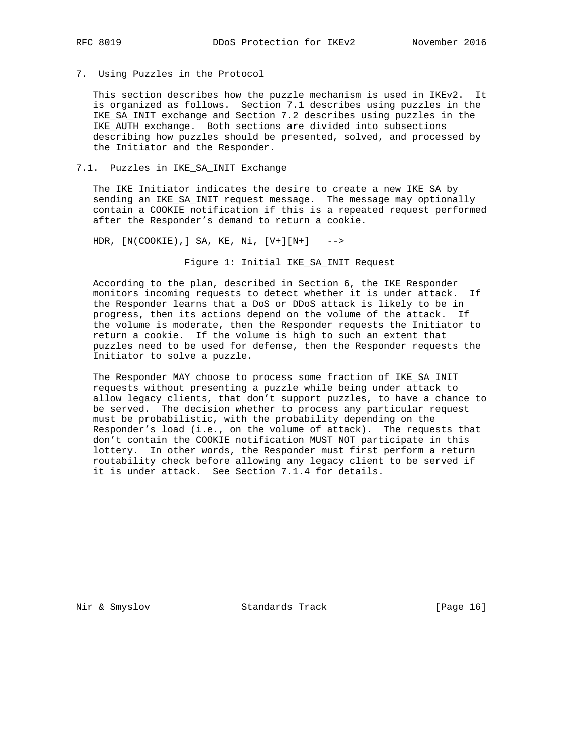7. Using Puzzles in the Protocol

 This section describes how the puzzle mechanism is used in IKEv2. It is organized as follows. Section 7.1 describes using puzzles in the IKE\_SA\_INIT exchange and Section 7.2 describes using puzzles in the IKE\_AUTH exchange. Both sections are divided into subsections describing how puzzles should be presented, solved, and processed by the Initiator and the Responder.

# 7.1. Puzzles in IKE\_SA\_INIT Exchange

 The IKE Initiator indicates the desire to create a new IKE SA by sending an IKE\_SA\_INIT request message. The message may optionally contain a COOKIE notification if this is a repeated request performed after the Responder's demand to return a cookie.

HDR, [N(COOKIE),] SA, KE, Ni, [V+][N+] -->

Figure 1: Initial IKE\_SA\_INIT Request

 According to the plan, described in Section 6, the IKE Responder monitors incoming requests to detect whether it is under attack. If the Responder learns that a DoS or DDoS attack is likely to be in progress, then its actions depend on the volume of the attack. If the volume is moderate, then the Responder requests the Initiator to return a cookie. If the volume is high to such an extent that puzzles need to be used for defense, then the Responder requests the Initiator to solve a puzzle.

 The Responder MAY choose to process some fraction of IKE\_SA\_INIT requests without presenting a puzzle while being under attack to allow legacy clients, that don't support puzzles, to have a chance to be served. The decision whether to process any particular request must be probabilistic, with the probability depending on the Responder's load (i.e., on the volume of attack). The requests that don't contain the COOKIE notification MUST NOT participate in this lottery. In other words, the Responder must first perform a return routability check before allowing any legacy client to be served if it is under attack. See Section 7.1.4 for details.

Nir & Smyslov Standards Track [Page 16]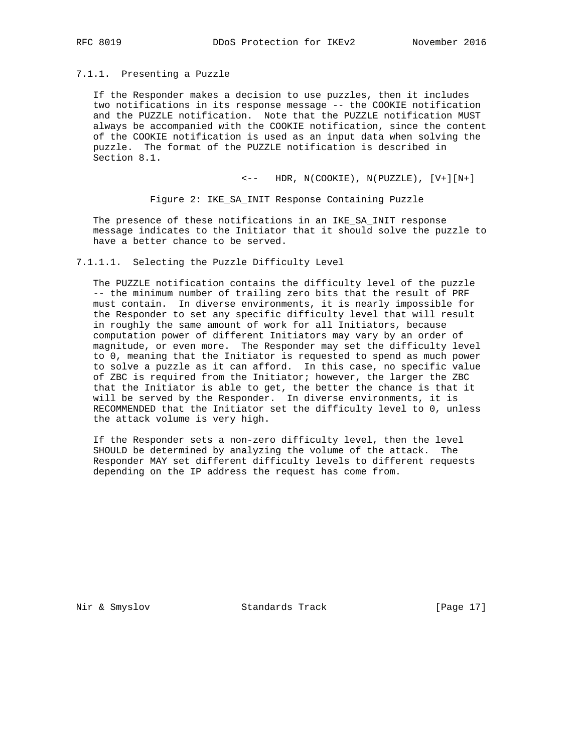# 7.1.1. Presenting a Puzzle

 If the Responder makes a decision to use puzzles, then it includes two notifications in its response message -- the COOKIE notification and the PUZZLE notification. Note that the PUZZLE notification MUST always be accompanied with the COOKIE notification, since the content of the COOKIE notification is used as an input data when solving the puzzle. The format of the PUZZLE notification is described in Section 8.1.

 $\leftarrow$  - HDR, N(COOKIE), N(PUZZLE),  $[V+][N+]$ 

Figure 2: IKE\_SA\_INIT Response Containing Puzzle

 The presence of these notifications in an IKE\_SA\_INIT response message indicates to the Initiator that it should solve the puzzle to have a better chance to be served.

### 7.1.1.1. Selecting the Puzzle Difficulty Level

 The PUZZLE notification contains the difficulty level of the puzzle -- the minimum number of trailing zero bits that the result of PRF must contain. In diverse environments, it is nearly impossible for the Responder to set any specific difficulty level that will result in roughly the same amount of work for all Initiators, because computation power of different Initiators may vary by an order of magnitude, or even more. The Responder may set the difficulty level to 0, meaning that the Initiator is requested to spend as much power to solve a puzzle as it can afford. In this case, no specific value of ZBC is required from the Initiator; however, the larger the ZBC that the Initiator is able to get, the better the chance is that it will be served by the Responder. In diverse environments, it is RECOMMENDED that the Initiator set the difficulty level to 0, unless the attack volume is very high.

 If the Responder sets a non-zero difficulty level, then the level SHOULD be determined by analyzing the volume of the attack. The Responder MAY set different difficulty levels to different requests depending on the IP address the request has come from.

Nir & Smyslov Standards Track [Page 17]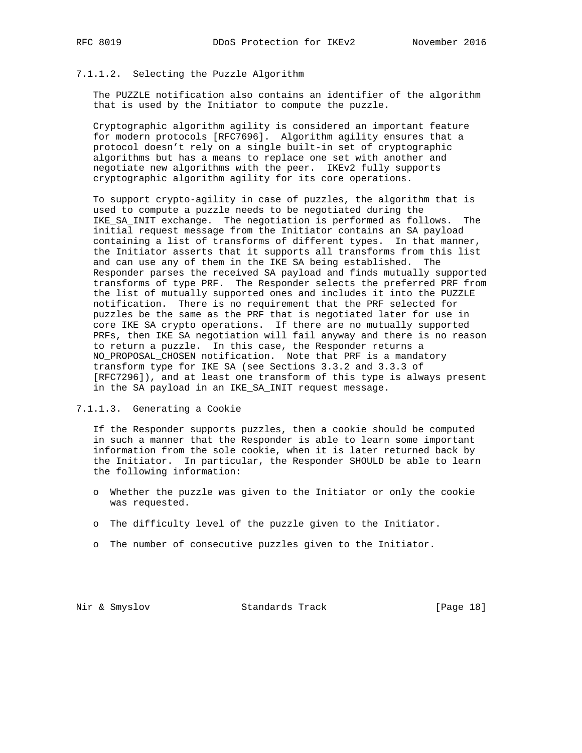# 7.1.1.2. Selecting the Puzzle Algorithm

 The PUZZLE notification also contains an identifier of the algorithm that is used by the Initiator to compute the puzzle.

 Cryptographic algorithm agility is considered an important feature for modern protocols [RFC7696]. Algorithm agility ensures that a protocol doesn't rely on a single built-in set of cryptographic algorithms but has a means to replace one set with another and negotiate new algorithms with the peer. IKEv2 fully supports cryptographic algorithm agility for its core operations.

 To support crypto-agility in case of puzzles, the algorithm that is used to compute a puzzle needs to be negotiated during the IKE\_SA\_INIT exchange. The negotiation is performed as follows. The initial request message from the Initiator contains an SA payload containing a list of transforms of different types. In that manner, the Initiator asserts that it supports all transforms from this list and can use any of them in the IKE SA being established. The Responder parses the received SA payload and finds mutually supported transforms of type PRF. The Responder selects the preferred PRF from the list of mutually supported ones and includes it into the PUZZLE notification. There is no requirement that the PRF selected for puzzles be the same as the PRF that is negotiated later for use in core IKE SA crypto operations. If there are no mutually supported PRFs, then IKE SA negotiation will fail anyway and there is no reason to return a puzzle. In this case, the Responder returns a NO\_PROPOSAL\_CHOSEN notification. Note that PRF is a mandatory transform type for IKE SA (see Sections 3.3.2 and 3.3.3 of [RFC7296]), and at least one transform of this type is always present in the SA payload in an IKE\_SA\_INIT request message.

7.1.1.3. Generating a Cookie

 If the Responder supports puzzles, then a cookie should be computed in such a manner that the Responder is able to learn some important information from the sole cookie, when it is later returned back by the Initiator. In particular, the Responder SHOULD be able to learn the following information:

- o Whether the puzzle was given to the Initiator or only the cookie was requested.
- o The difficulty level of the puzzle given to the Initiator.
- o The number of consecutive puzzles given to the Initiator.

Nir & Smyslov Standards Track [Page 18]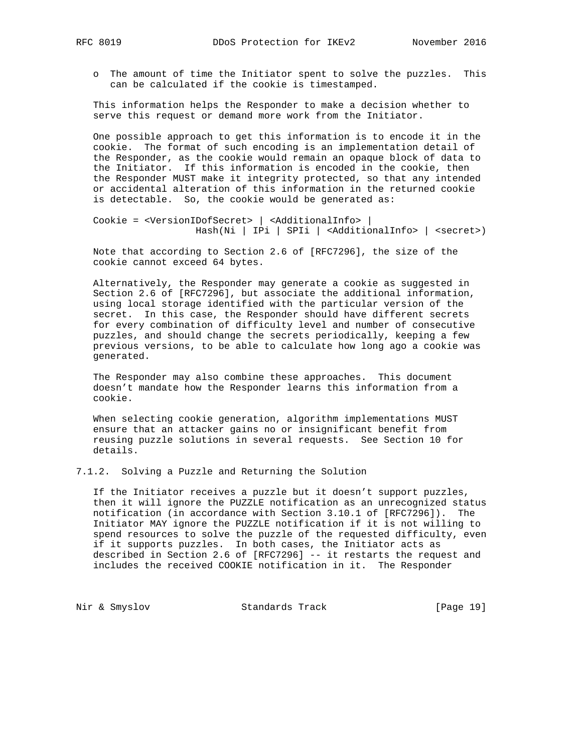o The amount of time the Initiator spent to solve the puzzles. This can be calculated if the cookie is timestamped.

 This information helps the Responder to make a decision whether to serve this request or demand more work from the Initiator.

 One possible approach to get this information is to encode it in the cookie. The format of such encoding is an implementation detail of the Responder, as the cookie would remain an opaque block of data to the Initiator. If this information is encoded in the cookie, then the Responder MUST make it integrity protected, so that any intended or accidental alteration of this information in the returned cookie is detectable. So, the cookie would be generated as:

 Cookie = <VersionIDofSecret> | <AdditionalInfo> | Hash(Ni | IPi | SPIi | <AdditionalInfo> | <secret>)

 Note that according to Section 2.6 of [RFC7296], the size of the cookie cannot exceed 64 bytes.

 Alternatively, the Responder may generate a cookie as suggested in Section 2.6 of [RFC7296], but associate the additional information, using local storage identified with the particular version of the secret. In this case, the Responder should have different secrets for every combination of difficulty level and number of consecutive puzzles, and should change the secrets periodically, keeping a few previous versions, to be able to calculate how long ago a cookie was generated.

 The Responder may also combine these approaches. This document doesn't mandate how the Responder learns this information from a cookie.

 When selecting cookie generation, algorithm implementations MUST ensure that an attacker gains no or insignificant benefit from reusing puzzle solutions in several requests. See Section 10 for details.

7.1.2. Solving a Puzzle and Returning the Solution

 If the Initiator receives a puzzle but it doesn't support puzzles, then it will ignore the PUZZLE notification as an unrecognized status notification (in accordance with Section 3.10.1 of [RFC7296]). The Initiator MAY ignore the PUZZLE notification if it is not willing to spend resources to solve the puzzle of the requested difficulty, even if it supports puzzles. In both cases, the Initiator acts as described in Section 2.6 of [RFC7296] -- it restarts the request and includes the received COOKIE notification in it. The Responder

Nir & Smyslov Standards Track [Page 19]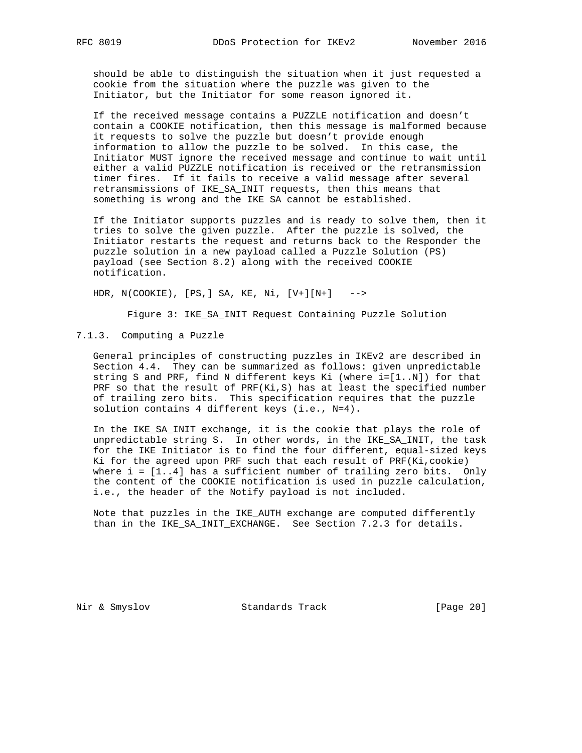should be able to distinguish the situation when it just requested a cookie from the situation where the puzzle was given to the Initiator, but the Initiator for some reason ignored it.

 If the received message contains a PUZZLE notification and doesn't contain a COOKIE notification, then this message is malformed because it requests to solve the puzzle but doesn't provide enough information to allow the puzzle to be solved. In this case, the Initiator MUST ignore the received message and continue to wait until either a valid PUZZLE notification is received or the retransmission timer fires. If it fails to receive a valid message after several retransmissions of IKE\_SA\_INIT requests, then this means that something is wrong and the IKE SA cannot be established.

 If the Initiator supports puzzles and is ready to solve them, then it tries to solve the given puzzle. After the puzzle is solved, the Initiator restarts the request and returns back to the Responder the puzzle solution in a new payload called a Puzzle Solution (PS) payload (see Section 8.2) along with the received COOKIE notification.

HDR, N(COOKIE), [PS,] SA, KE, Ni, [V+][N+] -->

Figure 3: IKE\_SA\_INIT Request Containing Puzzle Solution

7.1.3. Computing a Puzzle

 General principles of constructing puzzles in IKEv2 are described in Section 4.4. They can be summarized as follows: given unpredictable string S and PRF, find N different keys Ki (where i=[1..N]) for that PRF so that the result of PRF(Ki,S) has at least the specified number of trailing zero bits. This specification requires that the puzzle solution contains 4 different keys (i.e., N=4).

 In the IKE\_SA\_INIT exchange, it is the cookie that plays the role of unpredictable string S. In other words, in the IKE\_SA\_INIT, the task for the IKE Initiator is to find the four different, equal-sized keys Ki for the agreed upon PRF such that each result of PRF(Ki,cookie) where  $i = [1..4]$  has a sufficient number of trailing zero bits. Only the content of the COOKIE notification is used in puzzle calculation, i.e., the header of the Notify payload is not included.

 Note that puzzles in the IKE\_AUTH exchange are computed differently than in the IKE\_SA\_INIT\_EXCHANGE. See Section 7.2.3 for details.

Nir & Smyslov Standards Track [Page 20]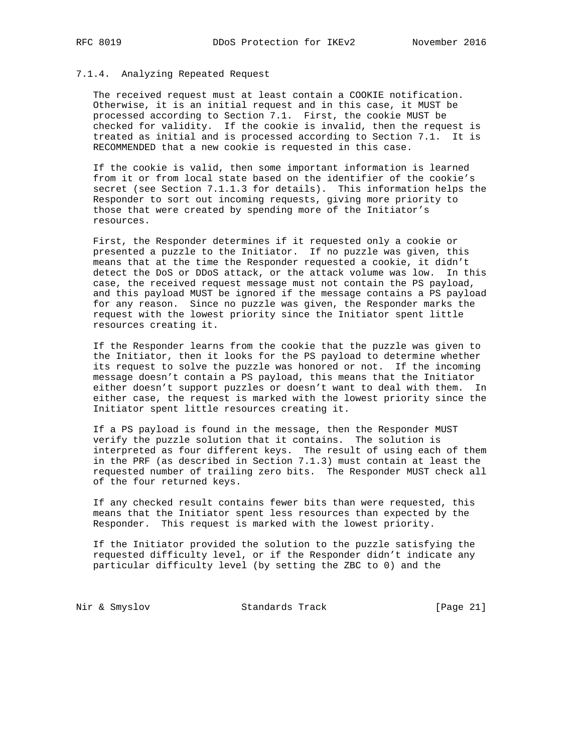#### 7.1.4. Analyzing Repeated Request

 The received request must at least contain a COOKIE notification. Otherwise, it is an initial request and in this case, it MUST be processed according to Section 7.1. First, the cookie MUST be checked for validity. If the cookie is invalid, then the request is treated as initial and is processed according to Section 7.1. It is RECOMMENDED that a new cookie is requested in this case.

 If the cookie is valid, then some important information is learned from it or from local state based on the identifier of the cookie's secret (see Section 7.1.1.3 for details). This information helps the Responder to sort out incoming requests, giving more priority to those that were created by spending more of the Initiator's resources.

 First, the Responder determines if it requested only a cookie or presented a puzzle to the Initiator. If no puzzle was given, this means that at the time the Responder requested a cookie, it didn't detect the DoS or DDoS attack, or the attack volume was low. In this case, the received request message must not contain the PS payload, and this payload MUST be ignored if the message contains a PS payload for any reason. Since no puzzle was given, the Responder marks the request with the lowest priority since the Initiator spent little resources creating it.

 If the Responder learns from the cookie that the puzzle was given to the Initiator, then it looks for the PS payload to determine whether its request to solve the puzzle was honored or not. If the incoming message doesn't contain a PS payload, this means that the Initiator either doesn't support puzzles or doesn't want to deal with them. In either case, the request is marked with the lowest priority since the Initiator spent little resources creating it.

 If a PS payload is found in the message, then the Responder MUST verify the puzzle solution that it contains. The solution is interpreted as four different keys. The result of using each of them in the PRF (as described in Section 7.1.3) must contain at least the requested number of trailing zero bits. The Responder MUST check all of the four returned keys.

 If any checked result contains fewer bits than were requested, this means that the Initiator spent less resources than expected by the Responder. This request is marked with the lowest priority.

 If the Initiator provided the solution to the puzzle satisfying the requested difficulty level, or if the Responder didn't indicate any particular difficulty level (by setting the ZBC to 0) and the

Nir & Smyslov Standards Track [Page 21]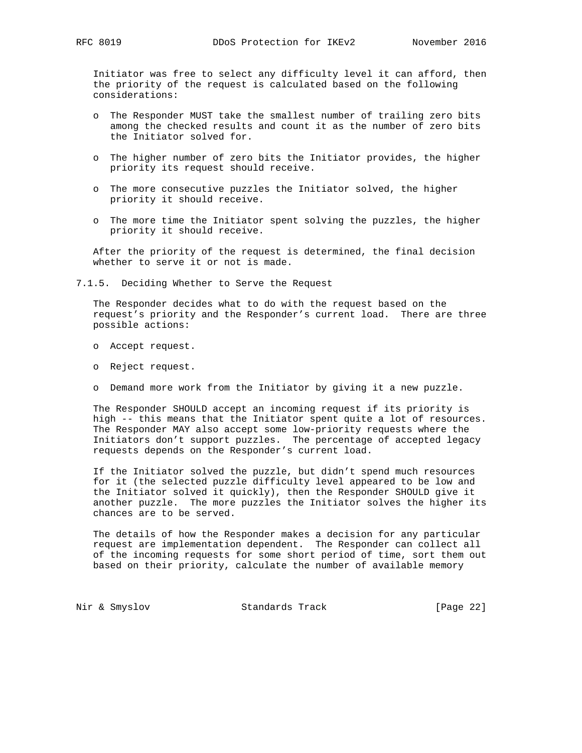Initiator was free to select any difficulty level it can afford, then the priority of the request is calculated based on the following considerations:

- o The Responder MUST take the smallest number of trailing zero bits among the checked results and count it as the number of zero bits the Initiator solved for.
- o The higher number of zero bits the Initiator provides, the higher priority its request should receive.
- o The more consecutive puzzles the Initiator solved, the higher priority it should receive.
- o The more time the Initiator spent solving the puzzles, the higher priority it should receive.

 After the priority of the request is determined, the final decision whether to serve it or not is made.

7.1.5. Deciding Whether to Serve the Request

 The Responder decides what to do with the request based on the request's priority and the Responder's current load. There are three possible actions:

- o Accept request.
- o Reject request.
- o Demand more work from the Initiator by giving it a new puzzle.

 The Responder SHOULD accept an incoming request if its priority is high -- this means that the Initiator spent quite a lot of resources. The Responder MAY also accept some low-priority requests where the Initiators don't support puzzles. The percentage of accepted legacy requests depends on the Responder's current load.

 If the Initiator solved the puzzle, but didn't spend much resources for it (the selected puzzle difficulty level appeared to be low and the Initiator solved it quickly), then the Responder SHOULD give it another puzzle. The more puzzles the Initiator solves the higher its chances are to be served.

 The details of how the Responder makes a decision for any particular request are implementation dependent. The Responder can collect all of the incoming requests for some short period of time, sort them out based on their priority, calculate the number of available memory

Nir & Smyslov **Standards Track** [Page 22]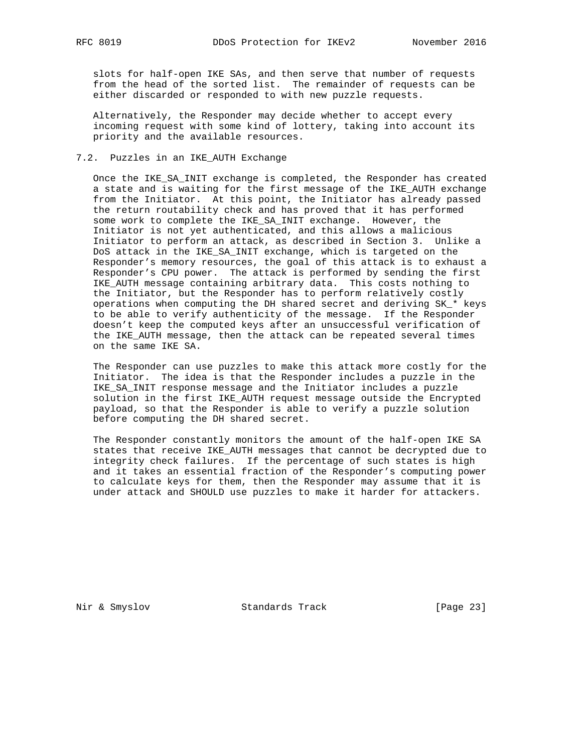slots for half-open IKE SAs, and then serve that number of requests from the head of the sorted list. The remainder of requests can be either discarded or responded to with new puzzle requests.

 Alternatively, the Responder may decide whether to accept every incoming request with some kind of lottery, taking into account its priority and the available resources.

### 7.2. Puzzles in an IKE\_AUTH Exchange

 Once the IKE\_SA\_INIT exchange is completed, the Responder has created a state and is waiting for the first message of the IKE\_AUTH exchange from the Initiator. At this point, the Initiator has already passed the return routability check and has proved that it has performed some work to complete the IKE\_SA\_INIT exchange. However, the Initiator is not yet authenticated, and this allows a malicious Initiator to perform an attack, as described in Section 3. Unlike a DoS attack in the IKE\_SA\_INIT exchange, which is targeted on the Responder's memory resources, the goal of this attack is to exhaust a Responder's CPU power. The attack is performed by sending the first IKE\_AUTH message containing arbitrary data. This costs nothing to the Initiator, but the Responder has to perform relatively costly operations when computing the DH shared secret and deriving SK\_\* keys to be able to verify authenticity of the message. If the Responder doesn't keep the computed keys after an unsuccessful verification of the IKE\_AUTH message, then the attack can be repeated several times on the same IKE SA.

 The Responder can use puzzles to make this attack more costly for the Initiator. The idea is that the Responder includes a puzzle in the IKE\_SA\_INIT response message and the Initiator includes a puzzle solution in the first IKE\_AUTH request message outside the Encrypted payload, so that the Responder is able to verify a puzzle solution before computing the DH shared secret.

 The Responder constantly monitors the amount of the half-open IKE SA states that receive IKE\_AUTH messages that cannot be decrypted due to integrity check failures. If the percentage of such states is high and it takes an essential fraction of the Responder's computing power to calculate keys for them, then the Responder may assume that it is under attack and SHOULD use puzzles to make it harder for attackers.

Nir & Smyslov Standards Track [Page 23]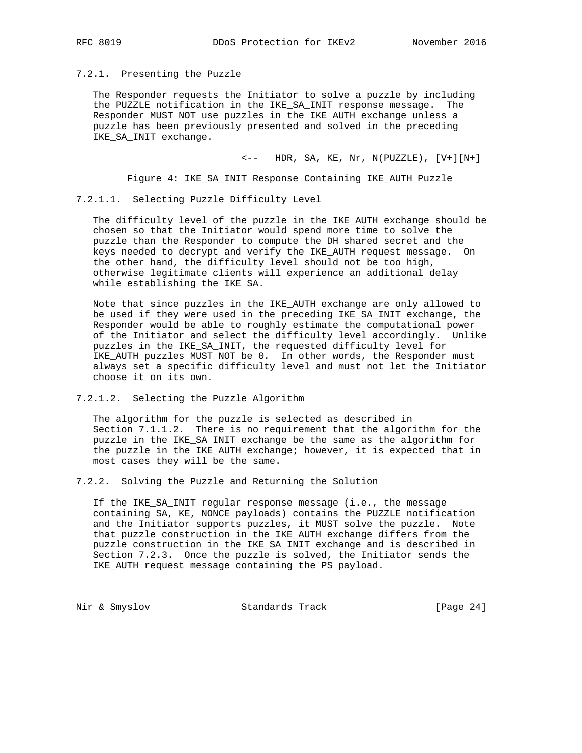#### 7.2.1. Presenting the Puzzle

 The Responder requests the Initiator to solve a puzzle by including the PUZZLE notification in the IKE\_SA\_INIT response message. The Responder MUST NOT use puzzles in the IKE\_AUTH exchange unless a puzzle has been previously presented and solved in the preceding IKE\_SA\_INIT exchange.

 $\leftarrow$  -- HDR, SA, KE, Nr, N(PUZZLE), [V+][N+]

Figure 4: IKE\_SA\_INIT Response Containing IKE\_AUTH Puzzle

7.2.1.1. Selecting Puzzle Difficulty Level

 The difficulty level of the puzzle in the IKE\_AUTH exchange should be chosen so that the Initiator would spend more time to solve the puzzle than the Responder to compute the DH shared secret and the keys needed to decrypt and verify the IKE\_AUTH request message. On the other hand, the difficulty level should not be too high, otherwise legitimate clients will experience an additional delay while establishing the IKE SA.

 Note that since puzzles in the IKE\_AUTH exchange are only allowed to be used if they were used in the preceding IKE\_SA\_INIT exchange, the Responder would be able to roughly estimate the computational power of the Initiator and select the difficulty level accordingly. Unlike puzzles in the IKE\_SA\_INIT, the requested difficulty level for IKE\_AUTH puzzles MUST NOT be 0. In other words, the Responder must always set a specific difficulty level and must not let the Initiator choose it on its own.

7.2.1.2. Selecting the Puzzle Algorithm

 The algorithm for the puzzle is selected as described in Section 7.1.1.2. There is no requirement that the algorithm for the puzzle in the IKE\_SA INIT exchange be the same as the algorithm for the puzzle in the IKE\_AUTH exchange; however, it is expected that in most cases they will be the same.

7.2.2. Solving the Puzzle and Returning the Solution

 If the IKE\_SA\_INIT regular response message (i.e., the message containing SA, KE, NONCE payloads) contains the PUZZLE notification and the Initiator supports puzzles, it MUST solve the puzzle. Note that puzzle construction in the IKE\_AUTH exchange differs from the puzzle construction in the IKE\_SA\_INIT exchange and is described in Section 7.2.3. Once the puzzle is solved, the Initiator sends the IKE\_AUTH request message containing the PS payload.

Nir & Smyslov Standards Track [Page 24]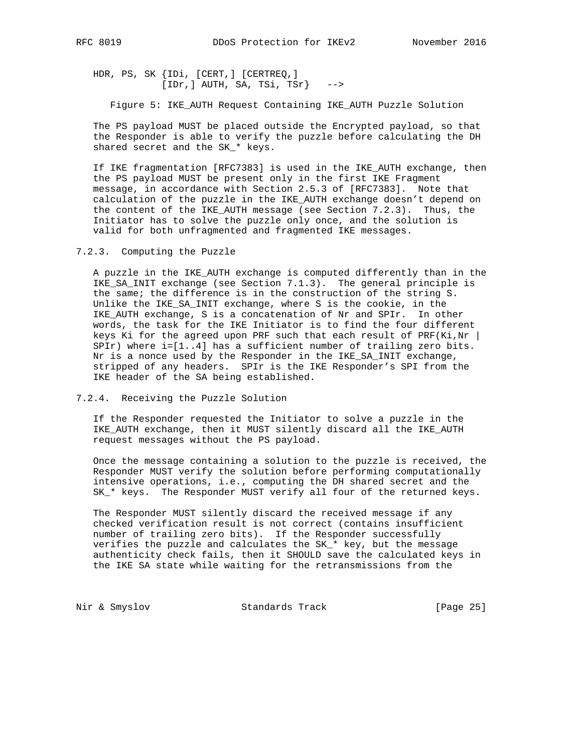HDR, PS, SK {IDi, [CERT,] [CERTREQ,]  $[IDr,] AUTH, SA, TSi, TSr]$  -->

Figure 5: IKE\_AUTH Request Containing IKE\_AUTH Puzzle Solution

 The PS payload MUST be placed outside the Encrypted payload, so that the Responder is able to verify the puzzle before calculating the DH shared secret and the SK\_\* keys.

 If IKE fragmentation [RFC7383] is used in the IKE\_AUTH exchange, then the PS payload MUST be present only in the first IKE Fragment message, in accordance with Section 2.5.3 of [RFC7383]. Note that calculation of the puzzle in the IKE\_AUTH exchange doesn't depend on the content of the IKE\_AUTH message (see Section 7.2.3). Thus, the Initiator has to solve the puzzle only once, and the solution is valid for both unfragmented and fragmented IKE messages.

7.2.3. Computing the Puzzle

 A puzzle in the IKE\_AUTH exchange is computed differently than in the IKE\_SA\_INIT exchange (see Section 7.1.3). The general principle is the same; the difference is in the construction of the string S. Unlike the IKE\_SA\_INIT exchange, where S is the cookie, in the IKE\_AUTH exchange, S is a concatenation of Nr and SPIr. In other words, the task for the IKE Initiator is to find the four different keys Ki for the agreed upon PRF such that each result of PRF(Ki,Nr  $\vert$  SPIr) where i=[1..4] has a sufficient number of trailing zero bits. Nr is a nonce used by the Responder in the IKE\_SA\_INIT exchange, stripped of any headers. SPIr is the IKE Responder's SPI from the IKE header of the SA being established.

7.2.4. Receiving the Puzzle Solution

 If the Responder requested the Initiator to solve a puzzle in the IKE\_AUTH exchange, then it MUST silently discard all the IKE\_AUTH request messages without the PS payload.

 Once the message containing a solution to the puzzle is received, the Responder MUST verify the solution before performing computationally intensive operations, i.e., computing the DH shared secret and the SK\_\* keys. The Responder MUST verify all four of the returned keys.

 The Responder MUST silently discard the received message if any checked verification result is not correct (contains insufficient number of trailing zero bits). If the Responder successfully verifies the puzzle and calculates the SK\_\* key, but the message authenticity check fails, then it SHOULD save the calculated keys in the IKE SA state while waiting for the retransmissions from the

Nir & Smyslov Standards Track [Page 25]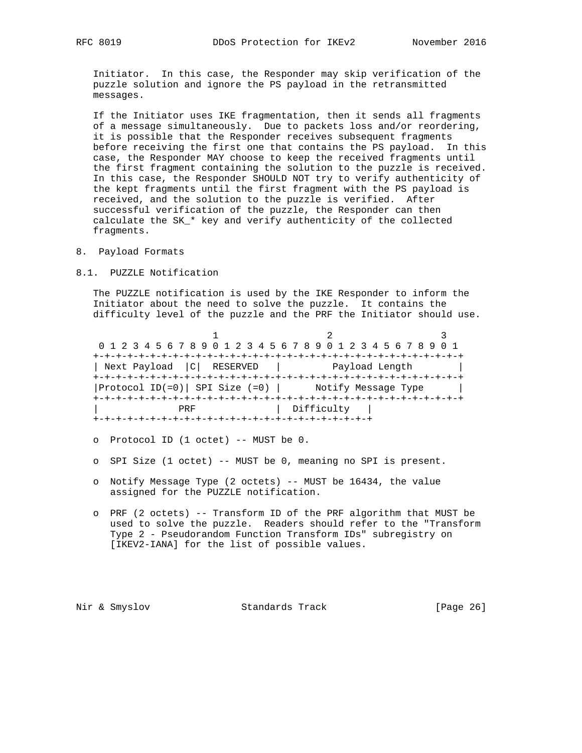Initiator. In this case, the Responder may skip verification of the puzzle solution and ignore the PS payload in the retransmitted messages.

 If the Initiator uses IKE fragmentation, then it sends all fragments of a message simultaneously. Due to packets loss and/or reordering, it is possible that the Responder receives subsequent fragments before receiving the first one that contains the PS payload. In this case, the Responder MAY choose to keep the received fragments until the first fragment containing the solution to the puzzle is received. In this case, the Responder SHOULD NOT try to verify authenticity of the kept fragments until the first fragment with the PS payload is received, and the solution to the puzzle is verified. After successful verification of the puzzle, the Responder can then calculate the SK\_\* key and verify authenticity of the collected fragments.

- 8. Payload Formats
- 8.1. PUZZLE Notification

 The PUZZLE notification is used by the IKE Responder to inform the Initiator about the need to solve the puzzle. It contains the difficulty level of the puzzle and the PRF the Initiator should use.

1 2 3 0 1 2 3 4 5 6 7 8 9 0 1 2 3 4 5 6 7 8 9 0 1 2 3 4 5 6 7 8 9 0 1 +-+-+-+-+-+-+-+-+-+-+-+-+-+-+-+-+-+-+-+-+-+-+-+-+-+-+-+-+-+-+-+-+ | Next Payload |C| RESERVED | Payload Length | +-+-+-+-+-+-+-+-+-+-+-+-+-+-+-+-+-+-+-+-+-+-+-+-+-+-+-+-+-+-+-+-+ |Protocol ID(=0)| SPI Size (=0) | Notify Message Type | +-+-+-+-+-+-+-+-+-+-+-+-+-+-+-+-+-+-+-+-+-+-+-+-+-+-+-+-+-+-+-+-+ PRF | Difficulty | +-+-+-+-+-+-+-+-+-+-+-+-+-+-+-+-+-+-+-+-+-+-+-+-+

- o Protocol ID (1 octet) -- MUST be 0.
- o SPI Size (1 octet) -- MUST be 0, meaning no SPI is present.
- o Notify Message Type (2 octets) -- MUST be 16434, the value assigned for the PUZZLE notification.
- o PRF (2 octets) -- Transform ID of the PRF algorithm that MUST be used to solve the puzzle. Readers should refer to the "Transform Type 2 - Pseudorandom Function Transform IDs" subregistry on [IKEV2-IANA] for the list of possible values.

Nir & Smyslov Standards Track [Page 26]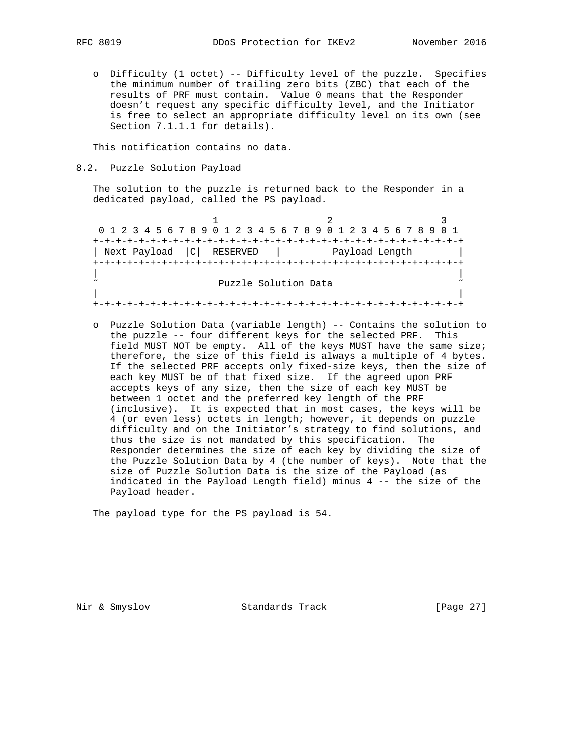o Difficulty (1 octet) -- Difficulty level of the puzzle. Specifies the minimum number of trailing zero bits (ZBC) that each of the results of PRF must contain. Value 0 means that the Responder doesn't request any specific difficulty level, and the Initiator is free to select an appropriate difficulty level on its own (see Section 7.1.1.1 for details).

This notification contains no data.

8.2. Puzzle Solution Payload

 The solution to the puzzle is returned back to the Responder in a dedicated payload, called the PS payload.

1 2 3 0 1 2 3 4 5 6 7 8 9 0 1 2 3 4 5 6 7 8 9 0 1 2 3 4 5 6 7 8 9 0 1 +-+-+-+-+-+-+-+-+-+-+-+-+-+-+-+-+-+-+-+-+-+-+-+-+-+-+-+-+-+-+-+-+ | Next Payload |C| RESERVED | Payload Length | +-+-+-+-+-+-+-+-+-+-+-+-+-+-+-+-+-+-+-+-+-+-+-+-+-+-+-+-+-+-+-+-+ | | Puzzle Solution Data | | +-+-+-+-+-+-+-+-+-+-+-+-+-+-+-+-+-+-+-+-+-+-+-+-+-+-+-+-+-+-+-+-+

 o Puzzle Solution Data (variable length) -- Contains the solution to the puzzle -- four different keys for the selected PRF. This field MUST NOT be empty. All of the keys MUST have the same size; therefore, the size of this field is always a multiple of 4 bytes. If the selected PRF accepts only fixed-size keys, then the size of each key MUST be of that fixed size. If the agreed upon PRF accepts keys of any size, then the size of each key MUST be between 1 octet and the preferred key length of the PRF (inclusive). It is expected that in most cases, the keys will be 4 (or even less) octets in length; however, it depends on puzzle difficulty and on the Initiator's strategy to find solutions, and thus the size is not mandated by this specification. The Responder determines the size of each key by dividing the size of the Puzzle Solution Data by 4 (the number of keys). Note that the size of Puzzle Solution Data is the size of the Payload (as indicated in the Payload Length field) minus 4 -- the size of the Payload header.

The payload type for the PS payload is 54.

Nir & Smyslov Standards Track [Page 27]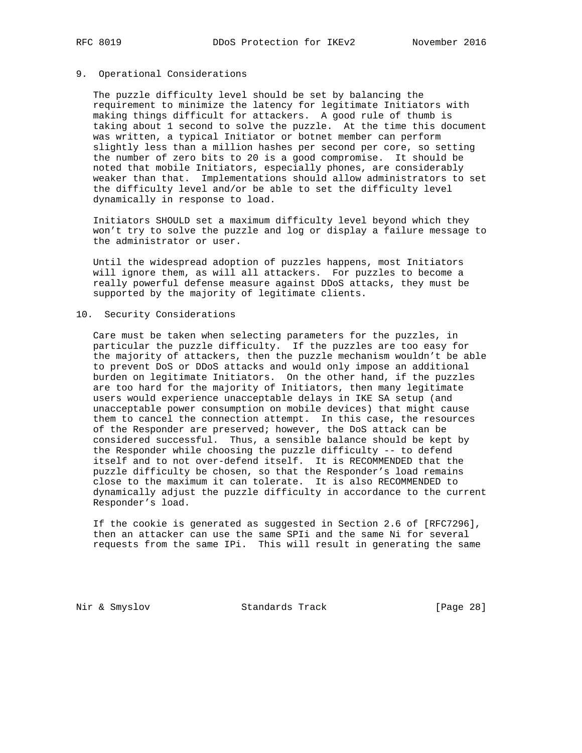# 9. Operational Considerations

 The puzzle difficulty level should be set by balancing the requirement to minimize the latency for legitimate Initiators with making things difficult for attackers. A good rule of thumb is taking about 1 second to solve the puzzle. At the time this document was written, a typical Initiator or botnet member can perform slightly less than a million hashes per second per core, so setting the number of zero bits to 20 is a good compromise. It should be noted that mobile Initiators, especially phones, are considerably weaker than that. Implementations should allow administrators to set the difficulty level and/or be able to set the difficulty level dynamically in response to load.

 Initiators SHOULD set a maximum difficulty level beyond which they won't try to solve the puzzle and log or display a failure message to the administrator or user.

 Until the widespread adoption of puzzles happens, most Initiators will ignore them, as will all attackers. For puzzles to become a really powerful defense measure against DDoS attacks, they must be supported by the majority of legitimate clients.

### 10. Security Considerations

 Care must be taken when selecting parameters for the puzzles, in particular the puzzle difficulty. If the puzzles are too easy for the majority of attackers, then the puzzle mechanism wouldn't be able to prevent DoS or DDoS attacks and would only impose an additional burden on legitimate Initiators. On the other hand, if the puzzles are too hard for the majority of Initiators, then many legitimate users would experience unacceptable delays in IKE SA setup (and unacceptable power consumption on mobile devices) that might cause them to cancel the connection attempt. In this case, the resources of the Responder are preserved; however, the DoS attack can be considered successful. Thus, a sensible balance should be kept by the Responder while choosing the puzzle difficulty -- to defend itself and to not over-defend itself. It is RECOMMENDED that the puzzle difficulty be chosen, so that the Responder's load remains close to the maximum it can tolerate. It is also RECOMMENDED to dynamically adjust the puzzle difficulty in accordance to the current Responder's load.

 If the cookie is generated as suggested in Section 2.6 of [RFC7296], then an attacker can use the same SPIi and the same Ni for several requests from the same IPi. This will result in generating the same

Nir & Smyslov Standards Track [Page 28]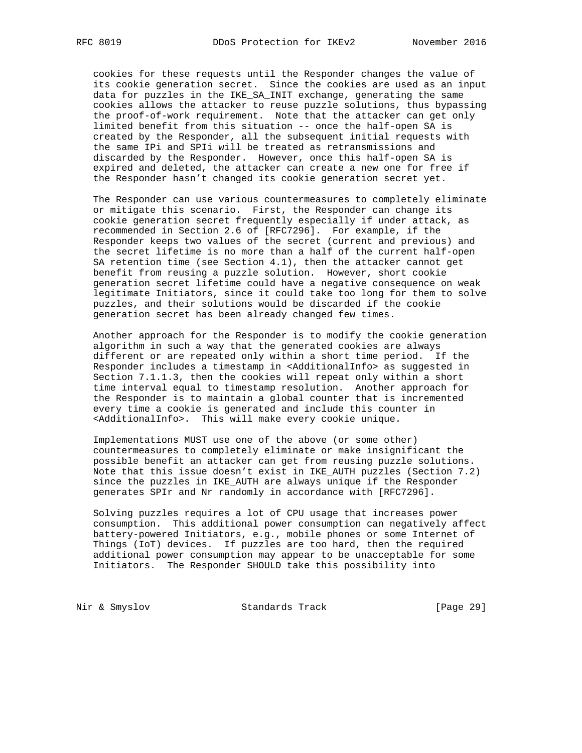cookies for these requests until the Responder changes the value of its cookie generation secret. Since the cookies are used as an input data for puzzles in the IKE\_SA\_INIT exchange, generating the same cookies allows the attacker to reuse puzzle solutions, thus bypassing the proof-of-work requirement. Note that the attacker can get only limited benefit from this situation -- once the half-open SA is created by the Responder, all the subsequent initial requests with the same IPi and SPIi will be treated as retransmissions and discarded by the Responder. However, once this half-open SA is expired and deleted, the attacker can create a new one for free if the Responder hasn't changed its cookie generation secret yet.

 The Responder can use various countermeasures to completely eliminate or mitigate this scenario. First, the Responder can change its cookie generation secret frequently especially if under attack, as recommended in Section 2.6 of [RFC7296]. For example, if the Responder keeps two values of the secret (current and previous) and the secret lifetime is no more than a half of the current half-open SA retention time (see Section 4.1), then the attacker cannot get benefit from reusing a puzzle solution. However, short cookie generation secret lifetime could have a negative consequence on weak legitimate Initiators, since it could take too long for them to solve puzzles, and their solutions would be discarded if the cookie generation secret has been already changed few times.

 Another approach for the Responder is to modify the cookie generation algorithm in such a way that the generated cookies are always different or are repeated only within a short time period. If the Responder includes a timestamp in <AdditionalInfo> as suggested in Section 7.1.1.3, then the cookies will repeat only within a short time interval equal to timestamp resolution. Another approach for the Responder is to maintain a global counter that is incremented every time a cookie is generated and include this counter in <AdditionalInfo>. This will make every cookie unique.

 Implementations MUST use one of the above (or some other) countermeasures to completely eliminate or make insignificant the possible benefit an attacker can get from reusing puzzle solutions. Note that this issue doesn't exist in IKE\_AUTH puzzles (Section 7.2) since the puzzles in IKE\_AUTH are always unique if the Responder generates SPIr and Nr randomly in accordance with [RFC7296].

 Solving puzzles requires a lot of CPU usage that increases power consumption. This additional power consumption can negatively affect battery-powered Initiators, e.g., mobile phones or some Internet of Things (IoT) devices. If puzzles are too hard, then the required additional power consumption may appear to be unacceptable for some Initiators. The Responder SHOULD take this possibility into

Nir & Smyslov **Standards Track** [Page 29]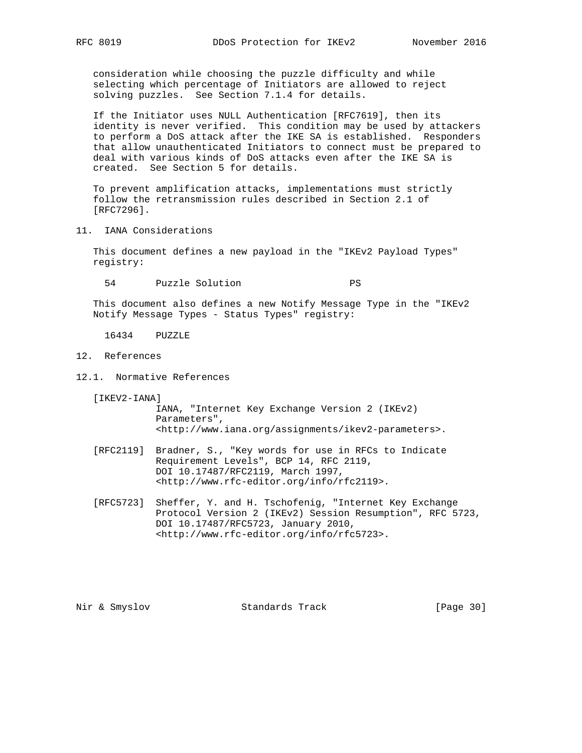consideration while choosing the puzzle difficulty and while selecting which percentage of Initiators are allowed to reject solving puzzles. See Section 7.1.4 for details.

 If the Initiator uses NULL Authentication [RFC7619], then its identity is never verified. This condition may be used by attackers to perform a DoS attack after the IKE SA is established. Responders that allow unauthenticated Initiators to connect must be prepared to deal with various kinds of DoS attacks even after the IKE SA is created. See Section 5 for details.

 To prevent amplification attacks, implementations must strictly follow the retransmission rules described in Section 2.1 of [RFC7296].

11. IANA Considerations

 This document defines a new payload in the "IKEv2 Payload Types" registry:

54 Puzzle Solution PS

 This document also defines a new Notify Message Type in the "IKEv2 Notify Message Types - Status Types" registry:

16434 PUZZLE

- 12. References
- 12.1. Normative References

[IKEV2-IANA]

 IANA, "Internet Key Exchange Version 2 (IKEv2) Parameters", <http://www.iana.org/assignments/ikev2-parameters>.

- [RFC2119] Bradner, S., "Key words for use in RFCs to Indicate Requirement Levels", BCP 14, RFC 2119, DOI 10.17487/RFC2119, March 1997, <http://www.rfc-editor.org/info/rfc2119>.
- [RFC5723] Sheffer, Y. and H. Tschofenig, "Internet Key Exchange Protocol Version 2 (IKEv2) Session Resumption", RFC 5723, DOI 10.17487/RFC5723, January 2010, <http://www.rfc-editor.org/info/rfc5723>.

Nir & Smyslov Standards Track [Page 30]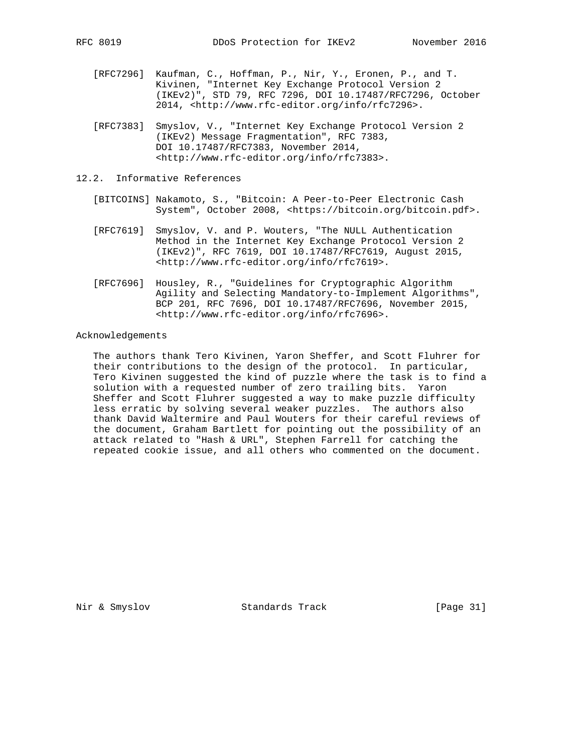- [RFC7296] Kaufman, C., Hoffman, P., Nir, Y., Eronen, P., and T. Kivinen, "Internet Key Exchange Protocol Version 2 (IKEv2)", STD 79, RFC 7296, DOI 10.17487/RFC7296, October 2014, <http://www.rfc-editor.org/info/rfc7296>.
- [RFC7383] Smyslov, V., "Internet Key Exchange Protocol Version 2 (IKEv2) Message Fragmentation", RFC 7383, DOI 10.17487/RFC7383, November 2014, <http://www.rfc-editor.org/info/rfc7383>.
- 12.2. Informative References
	- [BITCOINS] Nakamoto, S., "Bitcoin: A Peer-to-Peer Electronic Cash System", October 2008, <https://bitcoin.org/bitcoin.pdf>.
	- [RFC7619] Smyslov, V. and P. Wouters, "The NULL Authentication Method in the Internet Key Exchange Protocol Version 2 (IKEv2)", RFC 7619, DOI 10.17487/RFC7619, August 2015, <http://www.rfc-editor.org/info/rfc7619>.
	- [RFC7696] Housley, R., "Guidelines for Cryptographic Algorithm Agility and Selecting Mandatory-to-Implement Algorithms", BCP 201, RFC 7696, DOI 10.17487/RFC7696, November 2015, <http://www.rfc-editor.org/info/rfc7696>.

#### Acknowledgements

 The authors thank Tero Kivinen, Yaron Sheffer, and Scott Fluhrer for their contributions to the design of the protocol. In particular, Tero Kivinen suggested the kind of puzzle where the task is to find a solution with a requested number of zero trailing bits. Yaron Sheffer and Scott Fluhrer suggested a way to make puzzle difficulty less erratic by solving several weaker puzzles. The authors also thank David Waltermire and Paul Wouters for their careful reviews of the document, Graham Bartlett for pointing out the possibility of an attack related to "Hash & URL", Stephen Farrell for catching the repeated cookie issue, and all others who commented on the document.

Nir & Smyslov Standards Track [Page 31]